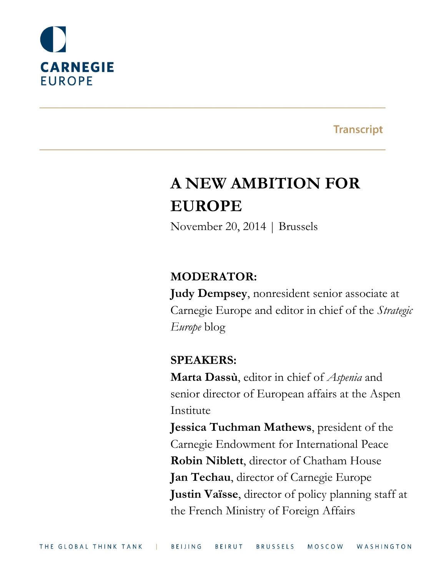

## **Transcript**

# **A NEW AMBITION FOR EUROPE**

November 20, 2014 | Brussels

## **MODERATOR:**

**Judy Dempsey**, nonresident senior associate at Carnegie Europe and editor in chief of the *Strategic Europe* blog

## **SPEAKERS:**

**Marta Dassù**, editor in chief of *Aspenia* and senior director of European affairs at the Aspen Institute

**Jessica Tuchman Mathews**, president of the Carnegie Endowment for International Peace **Robin Niblett**, director of Chatham House **Jan Techau**, director of Carnegie Europe **Justin Vaïsse**, director of policy planning staff at the French Ministry of Foreign Affairs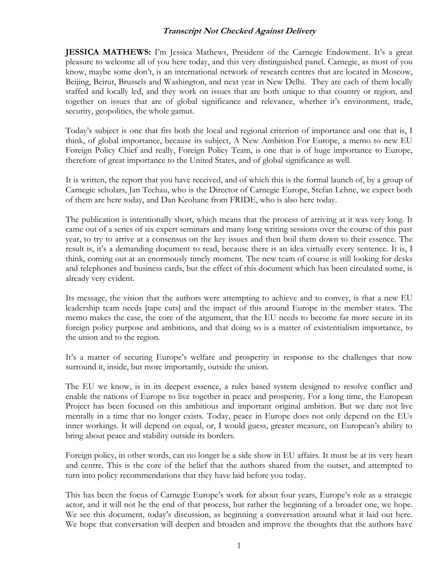**JESSICA MATHEWS:** I'm Jessica Mathews, President of the Carnegie Endowment. It's a great pleasure to welcome all of you here today, and this very distinguished panel. Carnegie, as most of you know, maybe some don't, is an international network of research centres that are located in Moscow, Beijing, Beirut, Brussels and Washington, and next year in New Delhi. They are each of them locally staffed and locally led, and they work on issues that are both unique to that country or region, and together on issues that are of global significance and relevance, whether it's environment, trade, security, geopolitics, the whole gamut.

Today's subject is one that fits both the local and regional criterion of importance and one that is, I think, of global importance, because its subject, A New Ambition For Europe, a memo to new EU Foreign Policy Chief and really, Foreign Policy Team, is one that is of huge importance to Europe, therefore of great importance to the United States, and of global significance as well.

It is written, the report that you have received, and of which this is the formal launch of, by a group of Carnegie scholars, Jan Techau, who is the Director of Carnegie Europe, Stefan Lehne, we expect both of them are here today, and Dan Keohane from FRIDE, who is also here today.

The publication is intentionally short, which means that the process of arriving at it was very long. It came out of a series of six expert seminars and many long writing sessions over the course of this past year, to try to arrive at a consensus on the key issues and then boil them down to their essence. The result is, it's a demanding document to read, because there is an idea virtually every sentence. It is, I think, coming out at an enormously timely moment. The new team of course is still looking for desks and telephones and business cards, but the effect of this document which has been circulated some, is already very evident.

Its message, the vision that the authors were attempting to achieve and to convey, is that a new EU leadership team needs [tape cuts] and the impact of this around Europe in the member states. The memo makes the case, the core of the argument, that the EU needs to become far more secure in its foreign policy purpose and ambitions, and that doing so is a matter of existentialism importance, to the union and to the region.

It's a matter of securing Europe's welfare and prosperity in response to the challenges that now surround it, inside, but more importantly, outside the union.

The EU we know, is in its deepest essence, a rules based system designed to resolve conflict and enable the nations of Europe to live together in peace and prosperity. For a long time, the European Project has been focused on this ambitious and important original ambition. But we dare not live mentally in a time that no longer exists. Today, peace in Europe does not only depend on the EUs inner workings. It will depend on equal, or, I would guess, greater measure, on European's ability to bring about peace and stability outside its borders.

Foreign policy, in other words, can no longer be a side show in EU affairs. It must be at its very heart and centre. This is the core of the belief that the authors shared from the outset, and attempted to turn into policy recommendations that they have laid before you today.

This has been the focus of Carnegie Europe's work for about four years, Europe's role as a strategic actor, and it will not be the end of that process, but rather the beginning of a broader one, we hope. We see this document, today's discussion, as beginning a conversation around what it laid out here. We hope that conversation will deepen and broaden and improve the thoughts that the authors have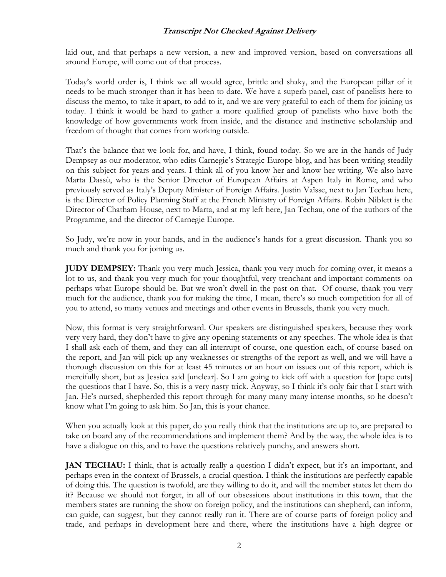laid out, and that perhaps a new version, a new and improved version, based on conversations all around Europe, will come out of that process.

Today's world order is, I think we all would agree, brittle and shaky, and the European pillar of it needs to be much stronger than it has been to date. We have a superb panel, cast of panelists here to discuss the memo, to take it apart, to add to it, and we are very grateful to each of them for joining us today. I think it would be hard to gather a more qualified group of panelists who have both the knowledge of how governments work from inside, and the distance and instinctive scholarship and freedom of thought that comes from working outside.

That's the balance that we look for, and have, I think, found today. So we are in the hands of Judy Dempsey as our moderator, who edits Carnegie's Strategic Europe blog, and has been writing steadily on this subject for years and years. I think all of you know her and know her writing. We also have Marta Dassù, who is the Senior Director of European Affairs at Aspen Italy in Rome, and who previously served as Italy's Deputy Minister of Foreign Affairs. Justin Vaïsse, next to Jan Techau here, is the Director of Policy Planning Staff at the French Ministry of Foreign Affairs. Robin Niblett is the Director of Chatham House, next to Marta, and at my left here, Jan Techau, one of the authors of the Programme, and the director of Carnegie Europe.

So Judy, we're now in your hands, and in the audience's hands for a great discussion. Thank you so much and thank you for joining us.

**JUDY DEMPSEY:** Thank you very much Jessica, thank you very much for coming over, it means a lot to us, and thank you very much for your thoughtful, very trenchant and important comments on perhaps what Europe should be. But we won't dwell in the past on that. Of course, thank you very much for the audience, thank you for making the time, I mean, there's so much competition for all of you to attend, so many venues and meetings and other events in Brussels, thank you very much.

Now, this format is very straightforward. Our speakers are distinguished speakers, because they work very very hard, they don't have to give any opening statements or any speeches. The whole idea is that I shall ask each of them, and they can all interrupt of course, one question each, of course based on the report, and Jan will pick up any weaknesses or strengths of the report as well, and we will have a thorough discussion on this for at least 45 minutes or an hour on issues out of this report, which is mercifully short, but as Jessica said [unclear]. So I am going to kick off with a question for [tape cuts] the questions that I have. So, this is a very nasty trick. Anyway, so I think it's only fair that I start with Jan. He's nursed, shepherded this report through for many many many intense months, so he doesn't know what I'm going to ask him. So Jan, this is your chance.

When you actually look at this paper, do you really think that the institutions are up to, are prepared to take on board any of the recommendations and implement them? And by the way, the whole idea is to have a dialogue on this, and to have the questions relatively punchy, and answers short.

**JAN TECHAU:** I think, that is actually really a question I didn't expect, but it's an important, and perhaps even in the context of Brussels, a crucial question. I think the institutions are perfectly capable of doing this. The question is twofold, are they willing to do it, and will the member states let them do it? Because we should not forget, in all of our obsessions about institutions in this town, that the members states are running the show on foreign policy, and the institutions can shepherd, can inform, can guide, can suggest, but they cannot really run it. There are of course parts of foreign policy and trade, and perhaps in development here and there, where the institutions have a high degree or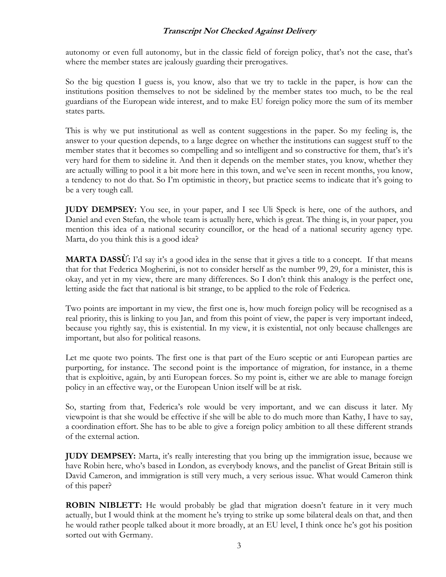autonomy or even full autonomy, but in the classic field of foreign policy, that's not the case, that's where the member states are jealously guarding their prerogatives.

So the big question I guess is, you know, also that we try to tackle in the paper, is how can the institutions position themselves to not be sidelined by the member states too much, to be the real guardians of the European wide interest, and to make EU foreign policy more the sum of its member states parts.

This is why we put institutional as well as content suggestions in the paper. So my feeling is, the answer to your question depends, to a large degree on whether the institutions can suggest stuff to the member states that it becomes so compelling and so intelligent and so constructive for them, that's it's very hard for them to sideline it. And then it depends on the member states, you know, whether they are actually willing to pool it a bit more here in this town, and we've seen in recent months, you know, a tendency to not do that. So I'm optimistic in theory, but practice seems to indicate that it's going to be a very tough call.

**JUDY DEMPSEY:** You see, in your paper, and I see Uli Speck is here, one of the authors, and Daniel and even Stefan, the whole team is actually here, which is great. The thing is, in your paper, you mention this idea of a national security councillor, or the head of a national security agency type. Marta, do you think this is a good idea?

**MARTA DASSỪ:** I'd say it's a good idea in the sense that it gives a title to a concept. If that means that for that Federica Mogherini, is not to consider herself as the number 99, 29, for a minister, this is okay, and yet in my view, there are many differences. So I don't think this analogy is the perfect one, letting aside the fact that national is bit strange, to be applied to the role of Federica.

Two points are important in my view, the first one is, how much foreign policy will be recognised as a real priority, this is linking to you Jan, and from this point of view, the paper is very important indeed, because you rightly say, this is existential. In my view, it is existential, not only because challenges are important, but also for political reasons.

Let me quote two points. The first one is that part of the Euro sceptic or anti European parties are purporting, for instance. The second point is the importance of migration, for instance, in a theme that is exploitive, again, by anti European forces. So my point is, either we are able to manage foreign policy in an effective way, or the European Union itself will be at risk.

So, starting from that, Federica's role would be very important, and we can discuss it later. My viewpoint is that she would be effective if she will be able to do much more than Kathy, I have to say, a coordination effort. She has to be able to give a foreign policy ambition to all these different strands of the external action.

**JUDY DEMPSEY:** Marta, it's really interesting that you bring up the immigration issue, because we have Robin here, who's based in London, as everybody knows, and the panelist of Great Britain still is David Cameron, and immigration is still very much, a very serious issue. What would Cameron think of this paper?

**ROBIN NIBLETT:** He would probably be glad that migration doesn't feature in it very much actually, but I would think at the moment he's trying to strike up some bilateral deals on that, and then he would rather people talked about it more broadly, at an EU level, I think once he's got his position sorted out with Germany.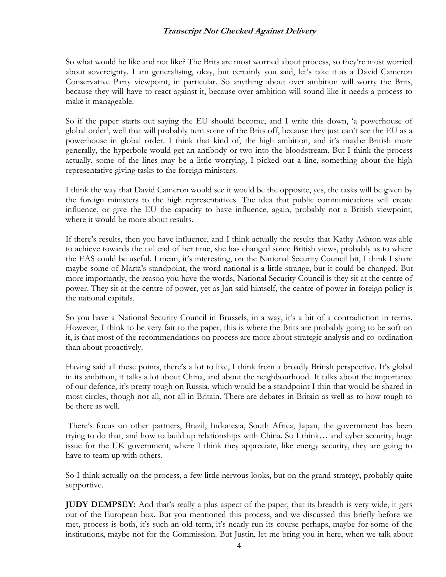So what would he like and not like? The Brits are most worried about process, so they're most worried about sovereignty. I am generalising, okay, but certainly you said, let's take it as a David Cameron Conservative Party viewpoint, in particular. So anything about over ambition will worry the Brits, because they will have to react against it, because over ambition will sound like it needs a process to make it manageable.

So if the paper starts out saying the EU should become, and I write this down, 'a powerhouse of global order', well that will probably turn some of the Brits off, because they just can't see the EU as a powerhouse in global order. I think that kind of, the high ambition, and it's maybe British more generally, the hyperbole would get an antibody or two into the bloodstream. But I think the process actually, some of the lines may be a little worrying, I picked out a line, something about the high representative giving tasks to the foreign ministers.

I think the way that David Cameron would see it would be the opposite, yes, the tasks will be given by the foreign ministers to the high representatives. The idea that public communications will create influence, or give the EU the capacity to have influence, again, probably not a British viewpoint, where it would be more about results.

If there's results, then you have influence, and I think actually the results that Kathy Ashton was able to achieve towards the tail end of her time, she has changed some British views, probably as to where the EAS could be useful. I mean, it's interesting, on the National Security Council bit, I think I share maybe some of Marta's standpoint, the word national is a little strange, but it could be changed. But more importantly, the reason you have the words, National Security Council is they sit at the centre of power. They sit at the centre of power, yet as Jan said himself, the centre of power in foreign policy is the national capitals.

So you have a National Security Council in Brussels, in a way, it's a bit of a contradiction in terms. However, I think to be very fair to the paper, this is where the Brits are probably going to be soft on it, is that most of the recommendations on process are more about strategic analysis and co-ordination than about proactively.

Having said all these points, there's a lot to like, I think from a broadly British perspective. It's global in its ambition, it talks a lot about China, and about the neighbourhood. It talks about the importance of our defence, it's pretty tough on Russia, which would be a standpoint I thin that would be shared in most circles, though not all, not all in Britain. There are debates in Britain as well as to how tough to be there as well.

There's focus on other partners, Brazil, Indonesia, South Africa, Japan, the government has been trying to do that, and how to build up relationships with China. So I think… and cyber security, huge issue for the UK government, where I think they appreciate, like energy security, they are going to have to team up with others.

So I think actually on the process, a few little nervous looks, but on the grand strategy, probably quite supportive.

**JUDY DEMPSEY:** And that's really a plus aspect of the paper, that its breadth is very wide, it gets out of the European box. But you mentioned this process, and we discussed this briefly before we met, process is both, it's such an old term, it's nearly run its course perhaps, maybe for some of the institutions, maybe not for the Commission. But Justin, let me bring you in here, when we talk about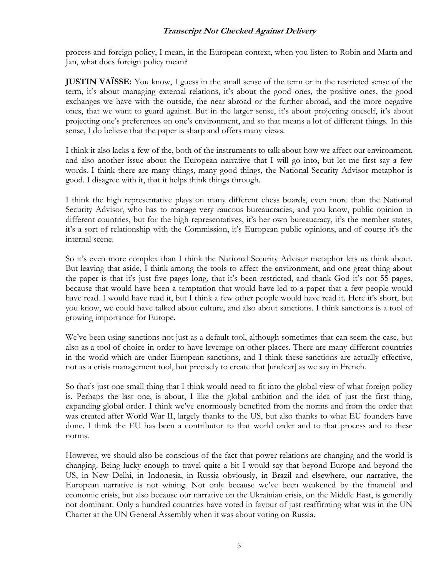process and foreign policy, I mean, in the European context, when you listen to Robin and Marta and Jan, what does foreign policy mean?

**JUSTIN VAÏSSE:** You know, I guess in the small sense of the term or in the restricted sense of the term, it's about managing external relations, it's about the good ones, the positive ones, the good exchanges we have with the outside, the near abroad or the further abroad, and the more negative ones, that we want to guard against. But in the larger sense, it's about projecting oneself, it's about projecting one's preferences on one's environment, and so that means a lot of different things. In this sense, I do believe that the paper is sharp and offers many views.

I think it also lacks a few of the, both of the instruments to talk about how we affect our environment, and also another issue about the European narrative that I will go into, but let me first say a few words. I think there are many things, many good things, the National Security Advisor metaphor is good. I disagree with it, that it helps think things through.

I think the high representative plays on many different chess boards, even more than the National Security Advisor, who has to manage very raucous bureaucracies, and you know, public opinion in different countries, but for the high representatives, it's her own bureaucracy, it's the member states, it's a sort of relationship with the Commission, it's European public opinions, and of course it's the internal scene.

So it's even more complex than I think the National Security Advisor metaphor lets us think about. But leaving that aside, I think among the tools to affect the environment, and one great thing about the paper is that it's just five pages long, that it's been restricted, and thank God it's not 55 pages, because that would have been a temptation that would have led to a paper that a few people would have read. I would have read it, but I think a few other people would have read it. Here it's short, but you know, we could have talked about culture, and also about sanctions. I think sanctions is a tool of growing importance for Europe.

We've been using sanctions not just as a default tool, although sometimes that can seem the case, but also as a tool of choice in order to have leverage on other places. There are many different countries in the world which are under European sanctions, and I think these sanctions are actually effective, not as a crisis management tool, but precisely to create that [unclear] as we say in French.

So that's just one small thing that I think would need to fit into the global view of what foreign policy is. Perhaps the last one, is about, I like the global ambition and the idea of just the first thing, expanding global order. I think we've enormously benefited from the norms and from the order that was created after World War II, largely thanks to the US, but also thanks to what EU founders have done. I think the EU has been a contributor to that world order and to that process and to these norms.

However, we should also be conscious of the fact that power relations are changing and the world is changing. Being lucky enough to travel quite a bit I would say that beyond Europe and beyond the US, in New Delhi, in Indonesia, in Russia obviously, in Brazil and elsewhere, our narrative, the European narrative is not wining. Not only because we've been weakened by the financial and economic crisis, but also because our narrative on the Ukrainian crisis, on the Middle East, is generally not dominant. Only a hundred countries have voted in favour of just reaffirming what was in the UN Charter at the UN General Assembly when it was about voting on Russia.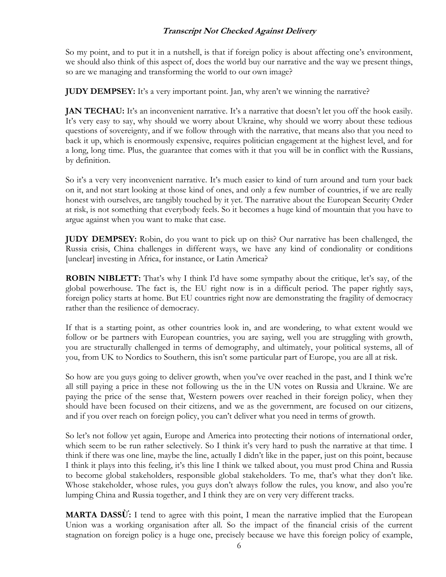So my point, and to put it in a nutshell, is that if foreign policy is about affecting one's environment, we should also think of this aspect of, does the world buy our narrative and the way we present things, so are we managing and transforming the world to our own image?

**JUDY DEMPSEY:** It's a very important point. Jan, why aren't we winning the narrative?

**JAN TECHAU:** It's an inconvenient narrative. It's a narrative that doesn't let you off the hook easily. It's very easy to say, why should we worry about Ukraine, why should we worry about these tedious questions of sovereignty, and if we follow through with the narrative, that means also that you need to back it up, which is enormously expensive, requires politician engagement at the highest level, and for a long, long time. Plus, the guarantee that comes with it that you will be in conflict with the Russians, by definition.

So it's a very very inconvenient narrative. It's much easier to kind of turn around and turn your back on it, and not start looking at those kind of ones, and only a few number of countries, if we are really honest with ourselves, are tangibly touched by it yet. The narrative about the European Security Order at risk, is not something that everybody feels. So it becomes a huge kind of mountain that you have to argue against when you want to make that case.

**JUDY DEMPSEY:** Robin, do you want to pick up on this? Our narrative has been challenged, the Russia crisis, China challenges in different ways, we have any kind of condionality or conditions [unclear] investing in Africa, for instance, or Latin America?

**ROBIN NIBLETT:** That's why I think I'd have some sympathy about the critique, let's say, of the global powerhouse. The fact is, the EU right now is in a difficult period. The paper rightly says, foreign policy starts at home. But EU countries right now are demonstrating the fragility of democracy rather than the resilience of democracy.

If that is a starting point, as other countries look in, and are wondering, to what extent would we follow or be partners with European countries, you are saying, well you are struggling with growth, you are structurally challenged in terms of demography, and ultimately, your political systems, all of you, from UK to Nordics to Southern, this isn't some particular part of Europe, you are all at risk.

So how are you guys going to deliver growth, when you've over reached in the past, and I think we're all still paying a price in these not following us the in the UN votes on Russia and Ukraine. We are paying the price of the sense that, Western powers over reached in their foreign policy, when they should have been focused on their citizens, and we as the government, are focused on our citizens, and if you over reach on foreign policy, you can't deliver what you need in terms of growth.

So let's not follow yet again, Europe and America into protecting their notions of international order, which seem to be run rather selectively. So I think it's very hard to push the narrative at that time. I think if there was one line, maybe the line, actually I didn't like in the paper, just on this point, because I think it plays into this feeling, it's this line I think we talked about, you must prod China and Russia to become global stakeholders, responsible global stakeholders. To me, that's what they don't like. Whose stakeholder, whose rules, you guys don't always follow the rules, you know, and also you're lumping China and Russia together, and I think they are on very very different tracks.

**MARTA DASSỪ:** I tend to agree with this point, I mean the narrative implied that the European Union was a working organisation after all. So the impact of the financial crisis of the current stagnation on foreign policy is a huge one, precisely because we have this foreign policy of example,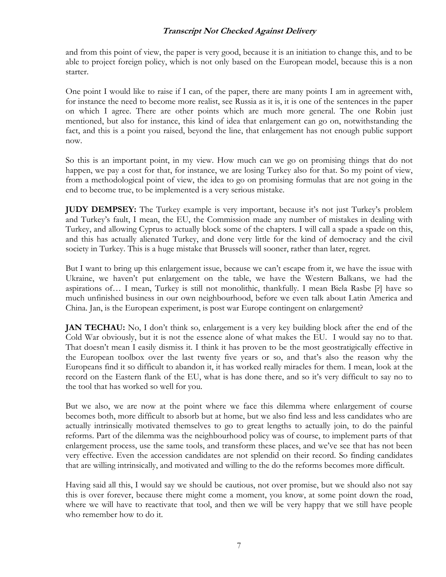and from this point of view, the paper is very good, because it is an initiation to change this, and to be able to project foreign policy, which is not only based on the European model, because this is a non starter.

One point I would like to raise if I can, of the paper, there are many points I am in agreement with, for instance the need to become more realist, see Russia as it is, it is one of the sentences in the paper on which I agree. There are other points which are much more general. The one Robin just mentioned, but also for instance, this kind of idea that enlargement can go on, notwithstanding the fact, and this is a point you raised, beyond the line, that enlargement has not enough public support now.

So this is an important point, in my view. How much can we go on promising things that do not happen, we pay a cost for that, for instance, we are losing Turkey also for that. So my point of view, from a methodological point of view, the idea to go on promising formulas that are not going in the end to become true, to be implemented is a very serious mistake.

**JUDY DEMPSEY:** The Turkey example is very important, because it's not just Turkey's problem and Turkey's fault, I mean, the EU, the Commission made any number of mistakes in dealing with Turkey, and allowing Cyprus to actually block some of the chapters. I will call a spade a spade on this, and this has actually alienated Turkey, and done very little for the kind of democracy and the civil society in Turkey. This is a huge mistake that Brussels will sooner, rather than later, regret.

But I want to bring up this enlargement issue, because we can't escape from it, we have the issue with Ukraine, we haven't put enlargement on the table, we have the Western Balkans, we had the aspirations of… I mean, Turkey is still not monolithic, thankfully. I mean Biela Rasbe [?] have so much unfinished business in our own neighbourhood, before we even talk about Latin America and China. Jan, is the European experiment, is post war Europe contingent on enlargement?

**JAN TECHAU:** No, I don't think so, enlargement is a very key building block after the end of the Cold War obviously, but it is not the essence alone of what makes the EU. I would say no to that. That doesn't mean I easily dismiss it. I think it has proven to be the most geostratigically effective in the European toolbox over the last twenty five years or so, and that's also the reason why the Europeans find it so difficult to abandon it, it has worked really miracles for them. I mean, look at the record on the Eastern flank of the EU, what is has done there, and so it's very difficult to say no to the tool that has worked so well for you.

But we also, we are now at the point where we face this dilemma where enlargement of course becomes both, more difficult to absorb but at home, but we also find less and less candidates who are actually intrinsically motivated themselves to go to great lengths to actually join, to do the painful reforms. Part of the dilemma was the neighbourhood policy was of course, to implement parts of that enlargement process, use the same tools, and transform these places, and we've see that has not been very effective. Even the accession candidates are not splendid on their record. So finding candidates that are willing intrinsically, and motivated and willing to the do the reforms becomes more difficult.

Having said all this, I would say we should be cautious, not over promise, but we should also not say this is over forever, because there might come a moment, you know, at some point down the road, where we will have to reactivate that tool, and then we will be very happy that we still have people who remember how to do it.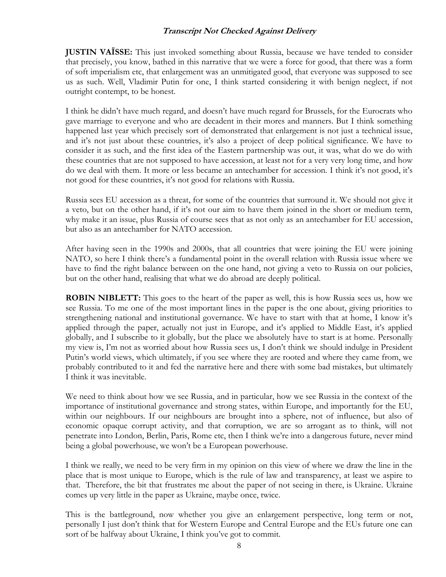**JUSTIN VAÏSSE:** This just invoked something about Russia, because we have tended to consider that precisely, you know, bathed in this narrative that we were a force for good, that there was a form of soft imperialism etc, that enlargement was an unmitigated good, that everyone was supposed to see us as such. Well, Vladimir Putin for one, I think started considering it with benign neglect, if not outright contempt, to be honest.

I think he didn't have much regard, and doesn't have much regard for Brussels, for the Eurocrats who gave marriage to everyone and who are decadent in their mores and manners. But I think something happened last year which precisely sort of demonstrated that enlargement is not just a technical issue, and it's not just about these countries, it's also a project of deep political significance. We have to consider it as such, and the first idea of the Eastern partnership was out, it was, what do we do with these countries that are not supposed to have accession, at least not for a very very long time, and how do we deal with them. It more or less became an antechamber for accession. I think it's not good, it's not good for these countries, it's not good for relations with Russia.

Russia sees EU accession as a threat, for some of the countries that surround it. We should not give it a veto, but on the other hand, if it's not our aim to have them joined in the short or medium term, why make it an issue, plus Russia of course sees that as not only as an antechamber for EU accession, but also as an antechamber for NATO accession.

After having seen in the 1990s and 2000s, that all countries that were joining the EU were joining NATO, so here I think there's a fundamental point in the overall relation with Russia issue where we have to find the right balance between on the one hand, not giving a veto to Russia on our policies, but on the other hand, realising that what we do abroad are deeply political.

**ROBIN NIBLETT:** This goes to the heart of the paper as well, this is how Russia sees us, how we see Russia. To me one of the most important lines in the paper is the one about, giving priorities to strengthening national and institutional governance. We have to start with that at home, I know it's applied through the paper, actually not just in Europe, and it's applied to Middle East, it's applied globally, and I subscribe to it globally, but the place we absolutely have to start is at home. Personally my view is, I'm not as worried about how Russia sees us, I don't think we should indulge in President Putin's world views, which ultimately, if you see where they are rooted and where they came from, we probably contributed to it and fed the narrative here and there with some bad mistakes, but ultimately I think it was inevitable.

We need to think about how we see Russia, and in particular, how we see Russia in the context of the importance of institutional governance and strong states, within Europe, and importantly for the EU, within our neighbours. If our neighbours are brought into a sphere, not of influence, but also of economic opaque corrupt activity, and that corruption, we are so arrogant as to think, will not penetrate into London, Berlin, Paris, Rome etc, then I think we're into a dangerous future, never mind being a global powerhouse, we won't be a European powerhouse.

I think we really, we need to be very firm in my opinion on this view of where we draw the line in the place that is most unique to Europe, which is the rule of law and transparency, at least we aspire to that. Therefore, the bit that frustrates me about the paper of not seeing in there, is Ukraine. Ukraine comes up very little in the paper as Ukraine, maybe once, twice.

This is the battleground, now whether you give an enlargement perspective, long term or not, personally I just don't think that for Western Europe and Central Europe and the EUs future one can sort of be halfway about Ukraine, I think you've got to commit.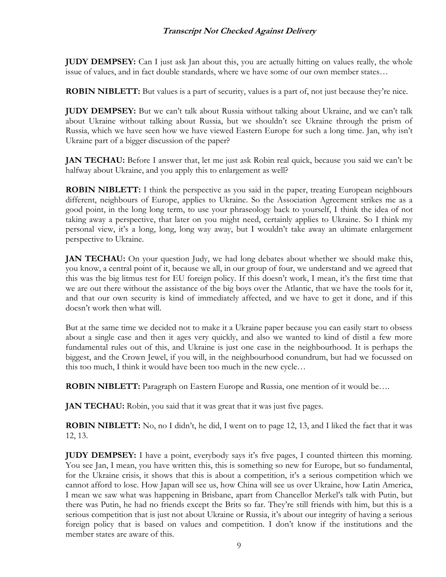**JUDY DEMPSEY:** Can I just ask Jan about this, you are actually hitting on values really, the whole issue of values, and in fact double standards, where we have some of our own member states…

**ROBIN NIBLETT:** But values is a part of security, values is a part of, not just because they're nice.

**JUDY DEMPSEY:** But we can't talk about Russia without talking about Ukraine, and we can't talk about Ukraine without talking about Russia, but we shouldn't see Ukraine through the prism of Russia, which we have seen how we have viewed Eastern Europe for such a long time. Jan, why isn't Ukraine part of a bigger discussion of the paper?

**JAN TECHAU:** Before I answer that, let me just ask Robin real quick, because you said we can't be halfway about Ukraine, and you apply this to enlargement as well?

**ROBIN NIBLETT:** I think the perspective as you said in the paper, treating European neighbours different, neighbours of Europe, applies to Ukraine. So the Association Agreement strikes me as a good point, in the long long term, to use your phraseology back to yourself, I think the idea of not taking away a perspective, that later on you might need, certainly applies to Ukraine. So I think my personal view, it's a long, long, long way away, but I wouldn't take away an ultimate enlargement perspective to Ukraine.

**JAN TECHAU:** On your question Judy, we had long debates about whether we should make this, you know, a central point of it, because we all, in our group of four, we understand and we agreed that this was the big litmus test for EU foreign policy. If this doesn't work, I mean, it's the first time that we are out there without the assistance of the big boys over the Atlantic, that we have the tools for it, and that our own security is kind of immediately affected, and we have to get it done, and if this doesn't work then what will.

But at the same time we decided not to make it a Ukraine paper because you can easily start to obsess about a single case and then it ages very quickly, and also we wanted to kind of distil a few more fundamental rules out of this, and Ukraine is just one case in the neighbourhood. It is perhaps the biggest, and the Crown Jewel, if you will, in the neighbourhood conundrum, but had we focussed on this too much, I think it would have been too much in the new cycle…

**ROBIN NIBLETT:** Paragraph on Eastern Europe and Russia, one mention of it would be....

**JAN TECHAU:** Robin, you said that it was great that it was just five pages.

**ROBIN NIBLETT:** No, no I didn't, he did, I went on to page 12, 13, and I liked the fact that it was 12, 13.

**JUDY DEMPSEY:** I have a point, everybody says it's five pages, I counted thirteen this morning. You see Jan, I mean, you have written this, this is something so new for Europe, but so fundamental, for the Ukraine crisis, it shows that this is about a competition, it's a serious competition which we cannot afford to lose. How Japan will see us, how China will see us over Ukraine, how Latin America, I mean we saw what was happening in Brisbane, apart from Chancellor Merkel's talk with Putin, but there was Putin, he had no friends except the Brits so far. They're still friends with him, but this is a serious competition that is just not about Ukraine or Russia, it's about our integrity of having a serious foreign policy that is based on values and competition. I don't know if the institutions and the member states are aware of this.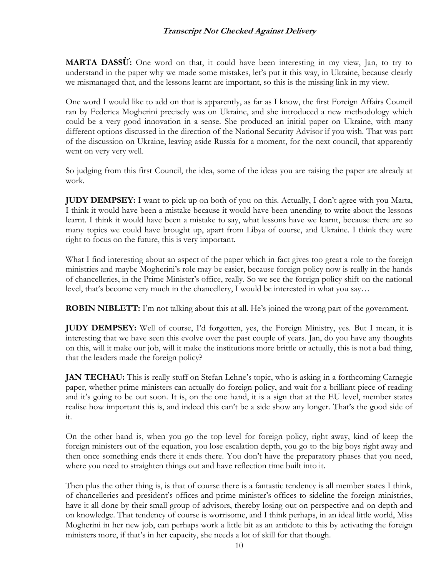**MARTA DASSỪ:** One word on that, it could have been interesting in my view, Jan, to try to understand in the paper why we made some mistakes, let's put it this way, in Ukraine, because clearly we mismanaged that, and the lessons learnt are important, so this is the missing link in my view.

One word I would like to add on that is apparently, as far as I know, the first Foreign Affairs Council ran by Federica Mogherini precisely was on Ukraine, and she introduced a new methodology which could be a very good innovation in a sense. She produced an initial paper on Ukraine, with many different options discussed in the direction of the National Security Advisor if you wish. That was part of the discussion on Ukraine, leaving aside Russia for a moment, for the next council, that apparently went on very very well.

So judging from this first Council, the idea, some of the ideas you are raising the paper are already at work.

**JUDY DEMPSEY:** I want to pick up on both of you on this. Actually, I don't agree with you Marta, I think it would have been a mistake because it would have been unending to write about the lessons learnt. I think it would have been a mistake to say, what lessons have we learnt, because there are so many topics we could have brought up, apart from Libya of course, and Ukraine. I think they were right to focus on the future, this is very important.

What I find interesting about an aspect of the paper which in fact gives too great a role to the foreign ministries and maybe Mogherini's role may be easier, because foreign policy now is really in the hands of chancelleries, in the Prime Minister's office, really. So we see the foreign policy shift on the national level, that's become very much in the chancellery, I would be interested in what you say…

**ROBIN NIBLETT:** I'm not talking about this at all. He's joined the wrong part of the government.

**JUDY DEMPSEY:** Well of course, I'd forgotten, yes, the Foreign Ministry, yes. But I mean, it is interesting that we have seen this evolve over the past couple of years. Jan, do you have any thoughts on this, will it make our job, will it make the institutions more brittle or actually, this is not a bad thing, that the leaders made the foreign policy?

**JAN TECHAU:** This is really stuff on Stefan Lehne's topic, who is asking in a forthcoming Carnegie paper, whether prime ministers can actually do foreign policy, and wait for a brilliant piece of reading and it's going to be out soon. It is, on the one hand, it is a sign that at the EU level, member states realise how important this is, and indeed this can't be a side show any longer. That's the good side of it.

On the other hand is, when you go the top level for foreign policy, right away, kind of keep the foreign ministers out of the equation, you lose escalation depth, you go to the big boys right away and then once something ends there it ends there. You don't have the preparatory phases that you need, where you need to straighten things out and have reflection time built into it.

Then plus the other thing is, is that of course there is a fantastic tendency is all member states I think, of chancelleries and president's offices and prime minister's offices to sideline the foreign ministries, have it all done by their small group of advisors, thereby losing out on perspective and on depth and on knowledge. That tendency of course is worrisome, and I think perhaps, in an ideal little world, Miss Mogherini in her new job, can perhaps work a little bit as an antidote to this by activating the foreign ministers more, if that's in her capacity, she needs a lot of skill for that though.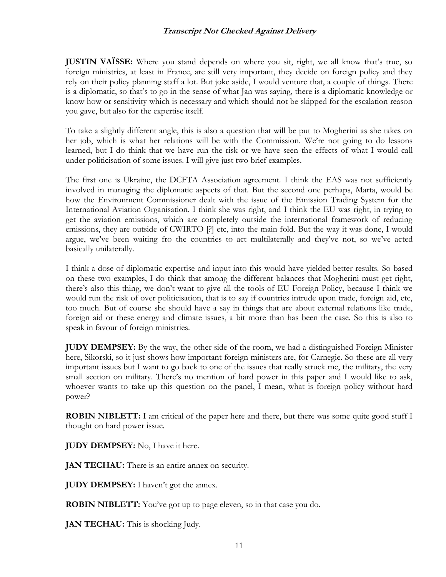**JUSTIN VAÏSSE:** Where you stand depends on where you sit, right, we all know that's true, so foreign ministries, at least in France, are still very important, they decide on foreign policy and they rely on their policy planning staff a lot. But joke aside, I would venture that, a couple of things. There is a diplomatic, so that's to go in the sense of what Jan was saying, there is a diplomatic knowledge or know how or sensitivity which is necessary and which should not be skipped for the escalation reason you gave, but also for the expertise itself.

To take a slightly different angle, this is also a question that will be put to Mogherini as she takes on her job, which is what her relations will be with the Commission. We're not going to do lessons learned, but I do think that we have run the risk or we have seen the effects of what I would call under politicisation of some issues. I will give just two brief examples.

The first one is Ukraine, the DCFTA Association agreement. I think the EAS was not sufficiently involved in managing the diplomatic aspects of that. But the second one perhaps, Marta, would be how the Environment Commissioner dealt with the issue of the Emission Trading System for the International Aviation Organisation. I think she was right, and I think the EU was right, in trying to get the aviation emissions, which are completely outside the international framework of reducing emissions, they are outside of CWIRTO [?] etc, into the main fold. But the way it was done, I would argue, we've been waiting fro the countries to act multilaterally and they've not, so we've acted basically unilaterally.

I think a dose of diplomatic expertise and input into this would have yielded better results. So based on these two examples, I do think that among the different balances that Mogherini must get right, there's also this thing, we don't want to give all the tools of EU Foreign Policy, because I think we would run the risk of over politicisation, that is to say if countries intrude upon trade, foreign aid, etc, too much. But of course she should have a say in things that are about external relations like trade, foreign aid or these energy and climate issues, a bit more than has been the case. So this is also to speak in favour of foreign ministries.

**JUDY DEMPSEY:** By the way, the other side of the room, we had a distinguished Foreign Minister here, Sikorski, so it just shows how important foreign ministers are, for Carnegie. So these are all very important issues but I want to go back to one of the issues that really struck me, the military, the very small section on military. There's no mention of hard power in this paper and I would like to ask, whoever wants to take up this question on the panel, I mean, what is foreign policy without hard power?

**ROBIN NIBLETT:** I am critical of the paper here and there, but there was some quite good stuff I thought on hard power issue.

**JUDY DEMPSEY:** No, I have it here.

**JAN TECHAU:** There is an entire annex on security.

**JUDY DEMPSEY:** I haven't got the annex.

**ROBIN NIBLETT:** You've got up to page eleven, so in that case you do.

**JAN TECHAU:** This is shocking Judy.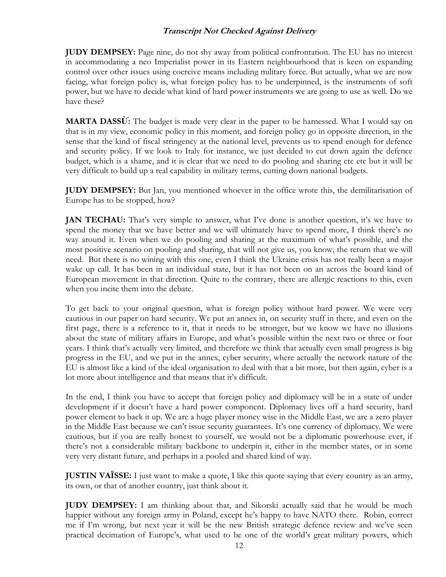**JUDY DEMPSEY:** Page nine, do not shy away from political confrontation. The EU has no interest in accommodating a neo Imperialist power in its Eastern neighbourhood that is keen on expanding control over other issues using coercive means including military force. But actually, what we are now facing, what foreign policy is, what foreign policy has to be underpinned, is the instruments of soft power, but we have to decide what kind of hard power instruments we are going to use as well. Do we have these?

**MARTA DASSỪ:** The budget is made very clear in the paper to be harnessed. What I would say on that is in my view, economic policy in this moment, and foreign policy go in opposite direction, in the sense that the kind of fiscal stringency at the national level, prevents us to spend enough for defence and security policy. If we look to Italy for instance, we just decided to cut down again the defence budget, which is a shame, and it is clear that we need to do pooling and sharing etc etc but it will be very difficult to build up a real capability in military terms, cutting down national budgets.

**JUDY DEMPSEY:** But Jan, you mentioned whoever in the office wrote this, the demilitarisation of Europe has to be stopped, how?

**JAN TECHAU:** That's very simple to answer, what I've done is another question, it's we have to spend the money that we have better and we will ultimately have to spend more, I think there's no way around it. Even when we do pooling and sharing at the maximum of what's possible, and the most positive scenario on pooling and sharing, that will not give us, you know, the return that we will need. But there is no wining with this one, even I think the Ukraine crisis has not really been a major wake up call. It has been in an individual state, but it has not been on an across the board kind of European movement in that direction. Quite to the contrary, there are allergic reactions to this, even when you incite them into the debate.

To get back to your original question, what is foreign policy without hard power. We were very cautious in our paper on hard security. We put an annex in, on security stuff in there, and even on the first page, there is a reference to it, that it needs to be stronger, but we know we have no illusions about the state of military affairs in Europe, and what's possible within the next two or three or four years. I think that's actually very limited, and therefore we think that actually even small progress is big progress in the EU, and we put in the annex, cyber security, where actually the network nature of the EU is almost like a kind of the ideal organisation to deal with that a bit more, but then again, cyber is a lot more about intelligence and that means that it's difficult.

In the end, I think you have to accept that foreign policy and diplomacy will be in a state of under development if it doesn't have a hard power component. Diplomacy lives off a hard security, hard power element to back it up. We are a huge player money wise in the Middle East, we are a zero player in the Middle East because we can't issue security guarantees. It's one currency of diplomacy. We were cautious, but if you are really honest to yourself, we would not be a diplomatic powerhouse ever, if there's not a considerable military backbone to underpin it, either in the member states, or in some very very distant future, and perhaps in a pooled and shared kind of way.

**JUSTIN VAÏSSE:** I just want to make a quote, I like this quote saying that every country as an army, its own, or that of another country, just think about it.

**JUDY DEMPSEY:** I am thinking about that, and Sikorski actually said that he would be much happier without any foreign army in Poland, except he's happy to have NATO there. Robin, correct me if I'm wrong, but next year it will be the new British strategic defence review and we've seen practical decimation of Europe's, what used to be one of the world's great military powers, which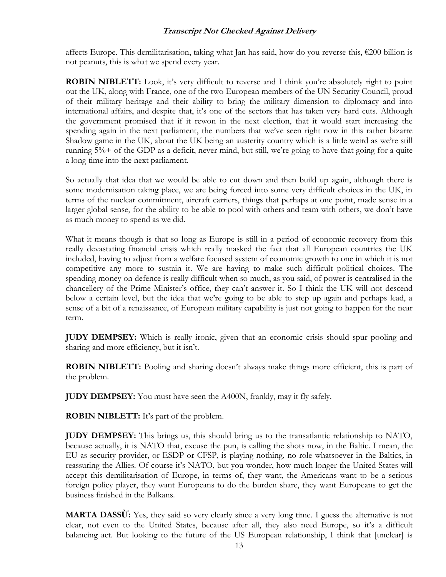affects Europe. This demilitarisation, taking what Jan has said, how do you reverse this, €200 billion is not peanuts, this is what we spend every year.

**ROBIN NIBLETT:** Look, it's very difficult to reverse and I think you're absolutely right to point out the UK, along with France, one of the two European members of the UN Security Council, proud of their military heritage and their ability to bring the military dimension to diplomacy and into international affairs, and despite that, it's one of the sectors that has taken very hard cuts. Although the government promised that if it rewon in the next election, that it would start increasing the spending again in the next parliament, the numbers that we've seen right now in this rather bizarre Shadow game in the UK, about the UK being an austerity country which is a little weird as we're still running 5%+ of the GDP as a deficit, never mind, but still, we're going to have that going for a quite a long time into the next parliament.

So actually that idea that we would be able to cut down and then build up again, although there is some modernisation taking place, we are being forced into some very difficult choices in the UK, in terms of the nuclear commitment, aircraft carriers, things that perhaps at one point, made sense in a larger global sense, for the ability to be able to pool with others and team with others, we don't have as much money to spend as we did.

What it means though is that so long as Europe is still in a period of economic recovery from this really devastating financial crisis which really masked the fact that all European countries the UK included, having to adjust from a welfare focused system of economic growth to one in which it is not competitive any more to sustain it. We are having to make such difficult political choices. The spending money on defence is really difficult when so much, as you said, of power is centralised in the chancellery of the Prime Minister's office, they can't answer it. So I think the UK will not descend below a certain level, but the idea that we're going to be able to step up again and perhaps lead, a sense of a bit of a renaissance, of European military capability is just not going to happen for the near term.

**JUDY DEMPSEY:** Which is really ironic, given that an economic crisis should spur pooling and sharing and more efficiency, but it isn't.

**ROBIN NIBLETT:** Pooling and sharing doesn't always make things more efficient, this is part of the problem.

**JUDY DEMPSEY:** You must have seen the A400N, frankly, may it fly safely.

**ROBIN NIBLETT:** It's part of the problem.

**JUDY DEMPSEY:** This brings us, this should bring us to the transatlantic relationship to NATO, because actually, it is NATO that, excuse the pun, is calling the shots now, in the Baltic. I mean, the EU as security provider, or ESDP or CFSP, is playing nothing, no role whatsoever in the Baltics, in reassuring the Allies. Of course it's NATO, but you wonder, how much longer the United States will accept this demilitarisation of Europe, in terms of, they want, the Americans want to be a serious foreign policy player, they want Europeans to do the burden share, they want Europeans to get the business finished in the Balkans.

**MARTA DASSỪ:** Yes, they said so very clearly since a very long time. I guess the alternative is not clear, not even to the United States, because after all, they also need Europe, so it's a difficult balancing act. But looking to the future of the US European relationship, I think that [unclear] is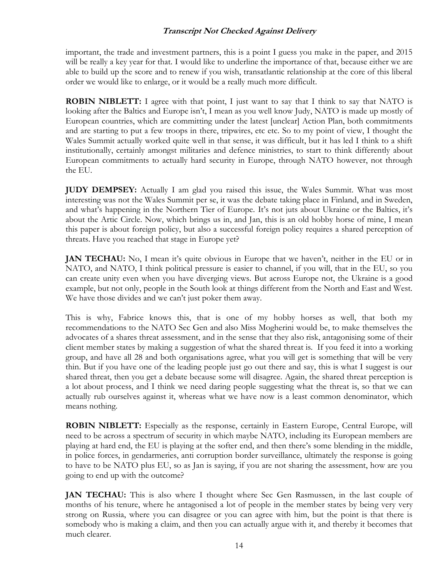important, the trade and investment partners, this is a point I guess you make in the paper, and 2015 will be really a key year for that. I would like to underline the importance of that, because either we are able to build up the score and to renew if you wish, transatlantic relationship at the core of this liberal order we would like to enlarge, or it would be a really much more difficult.

**ROBIN NIBLETT:** I agree with that point, I just want to say that I think to say that NATO is looking after the Baltics and Europe isn't, I mean as you well know Judy, NATO is made up mostly of European countries, which are committing under the latest [unclear] Action Plan, both commitments and are starting to put a few troops in there, tripwires, etc etc. So to my point of view, I thought the Wales Summit actually worked quite well in that sense, it was difficult, but it has led I think to a shift institutionally, certainly amongst militaries and defence ministries, to start to think differently about European commitments to actually hard security in Europe, through NATO however, not through the EU.

**JUDY DEMPSEY:** Actually I am glad you raised this issue, the Wales Summit. What was most interesting was not the Wales Summit per se, it was the debate taking place in Finland, and in Sweden, and what's happening in the Northern Tier of Europe. It's not juts about Ukraine or the Baltics, it's about the Artic Circle. Now, which brings us in, and Jan, this is an old hobby horse of mine, I mean this paper is about foreign policy, but also a successful foreign policy requires a shared perception of threats. Have you reached that stage in Europe yet?

**JAN TECHAU:** No, I mean it's quite obvious in Europe that we haven't, neither in the EU or in NATO, and NATO, I think political pressure is easier to channel, if you will, that in the EU, so you can create unity even when you have diverging views. But across Europe not, the Ukraine is a good example, but not only, people in the South look at things different from the North and East and West. We have those divides and we can't just poker them away.

This is why, Fabrice knows this, that is one of my hobby horses as well, that both my recommendations to the NATO Sec Gen and also Miss Mogherini would be, to make themselves the advocates of a shares threat assessment, and in the sense that they also risk, antagonising some of their client member states by making a suggestion of what the shared threat is. If you feed it into a working group, and have all 28 and both organisations agree, what you will get is something that will be very thin. But if you have one of the leading people just go out there and say, this is what I suggest is our shared threat, then you get a debate because some will disagree. Again, the shared threat perception is a lot about process, and I think we need daring people suggesting what the threat is, so that we can actually rub ourselves against it, whereas what we have now is a least common denominator, which means nothing.

**ROBIN NIBLETT:** Especially as the response, certainly in Eastern Europe, Central Europe, will need to be across a spectrum of security in which maybe NATO, including its European members are playing at hard end, the EU is playing at the softer end, and then there's some blending in the middle, in police forces, in gendarmeries, anti corruption border surveillance, ultimately the response is going to have to be NATO plus EU, so as Jan is saying, if you are not sharing the assessment, how are you going to end up with the outcome?

**JAN TECHAU:** This is also where I thought where Sec Gen Rasmussen, in the last couple of months of his tenure, where he antagonised a lot of people in the member states by being very very strong on Russia, where you can disagree or you can agree with him, but the point is that there is somebody who is making a claim, and then you can actually argue with it, and thereby it becomes that much clearer.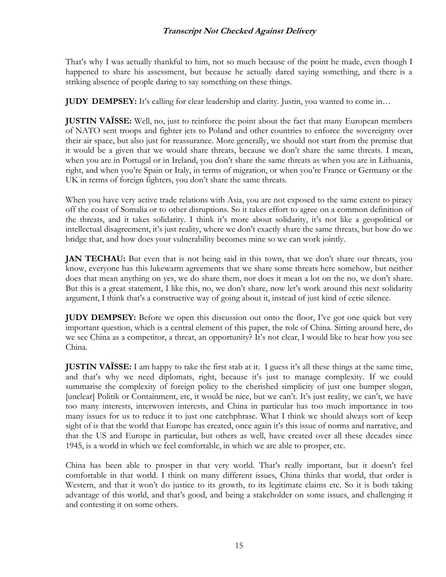That's why I was actually thankful to him, not so much because of the point he made, even though I happened to share his assessment, but because he actually dared saying something, and there is a striking absence of people daring to say something on these things.

**JUDY DEMPSEY:** It's calling for clear leadership and clarity. Justin, you wanted to come in...

**JUSTIN VAÏSSE:** Well, no, just to reinforce the point about the fact that many European members of NATO sent troops and fighter jets to Poland and other countries to enforce the sovereignty over their air space, but also just for reassurance. More generally, we should not start from the premise that it would be a given that we would share threats, because we don't share the same threats. I mean, when you are in Portugal or in Ireland, you don't share the same threats as when you are in Lithuania, right, and when you're Spain or Italy, in terms of migration, or when you're France or Germany or the UK in terms of foreign fighters, you don't share the same threats.

When you have very active trade relations with Asia, you are not exposed to the same extent to piracy off the coast of Somalia or to other disruptions. So it takes effort to agree on a common definition of the threats, and it takes solidarity. I think it's more about solidarity, it's not like a geopolitical or intellectual disagreement, it's just reality, where we don't exactly share the same threats, but how do we bridge that, and how does your vulnerability becomes mine so we can work jointly.

**JAN TECHAU:** But even that is not being said in this town, that we don't share our threats, you know, everyone has this lukewarm agreements that we share some threats here somehow, but neither does that mean anything on yes, we do share them, nor does it mean a lot on the no, we don't share. But this is a great statement, I like this, no, we don't share, now let's work around this next solidarity argument, I think that's a constructive way of going about it, instead of just kind of eerie silence.

**JUDY DEMPSEY:** Before we open this discussion out onto the floor, I've got one quick but very important question, which is a central element of this paper, the role of China. Sitting around here, do we see China as a competitor, a threat, an opportunity? It's not clear, I would like to hear how you see China.

**JUSTIN VAÏSSE:** I am happy to take the first stab at it. I guess it's all these things at the same time, and that's why we need diplomats, right, because it's just to manage complexity. If we could summarise the complexity of foreign policy to the cherished simplicity of just one bumper slogan, [unclear] Politik or Containment, etc, it would be nice, but we can't. It's just reality, we can't, we have too many interests, interwoven interests, and China in particular has too much importance in too many issues for us to reduce it to just one catchphrase. What I think we should always sort of keep sight of is that the world that Europe has created, once again it's this issue of norms and narrative, and that the US and Europe in particular, but others as well, have created over all these decades since 1945, is a world in which we feel comfortable, in which we are able to prosper, etc.

China has been able to prosper in that very world. That's really important, but it doesn't feel comfortable in that world. I think on many different issues, China thinks that world, that order is Western, and that it won't do justice to its growth, to its legitimate claims etc. So it is both taking advantage of this world, and that's good, and being a stakeholder on some issues, and challenging it and contesting it on some others.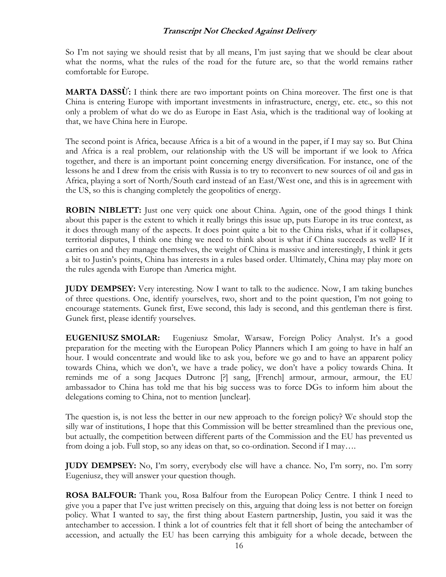So I'm not saying we should resist that by all means, I'm just saying that we should be clear about what the norms, what the rules of the road for the future are, so that the world remains rather comfortable for Europe.

**MARTA DASSỪ:** I think there are two important points on China moreover. The first one is that China is entering Europe with important investments in infrastructure, energy, etc. etc., so this not only a problem of what do we do as Europe in East Asia, which is the traditional way of looking at that, we have China here in Europe.

The second point is Africa, because Africa is a bit of a wound in the paper, if I may say so. But China and Africa is a real problem, our relationship with the US will be important if we look to Africa together, and there is an important point concerning energy diversification. For instance, one of the lessons he and I drew from the crisis with Russia is to try to reconvert to new sources of oil and gas in Africa, playing a sort of North/South card instead of an East/West one, and this is in agreement with the US, so this is changing completely the geopolitics of energy.

**ROBIN NIBLETT:** Just one very quick one about China. Again, one of the good things I think about this paper is the extent to which it really brings this issue up, puts Europe in its true context, as it does through many of the aspects. It does point quite a bit to the China risks, what if it collapses, territorial disputes, I think one thing we need to think about is what if China succeeds as well? If it carries on and they manage themselves, the weight of China is massive and interestingly, I think it gets a bit to Justin's points, China has interests in a rules based order. Ultimately, China may play more on the rules agenda with Europe than America might.

**JUDY DEMPSEY:** Very interesting. Now I want to talk to the audience. Now, I am taking bunches of three questions. One, identify yourselves, two, short and to the point question, I'm not going to encourage statements. Gunek first, Ewe second, this lady is second, and this gentleman there is first. Gunek first, please identify yourselves.

**EUGENIUSZ SMOLAR:** Eugeniusz Smolar, Warsaw, Foreign Policy Analyst. It's a good preparation for the meeting with the European Policy Planners which I am going to have in half an hour. I would concentrate and would like to ask you, before we go and to have an apparent policy towards China, which we don't, we have a trade policy, we don't have a policy towards China. It reminds me of a song Jacques Dutronc [?] sang, [French] armour, armour, armour, the EU ambassador to China has told me that his big success was to force DGs to inform him about the delegations coming to China, not to mention [unclear].

The question is, is not less the better in our new approach to the foreign policy? We should stop the silly war of institutions, I hope that this Commission will be better streamlined than the previous one, but actually, the competition between different parts of the Commission and the EU has prevented us from doing a job. Full stop, so any ideas on that, so co-ordination. Second if I may….

**JUDY DEMPSEY:** No, I'm sorry, everybody else will have a chance. No, I'm sorry, no. I'm sorry Eugeniusz, they will answer your question though.

**ROSA BALFOUR:** Thank you, Rosa Balfour from the European Policy Centre. I think I need to give you a paper that I've just written precisely on this, arguing that doing less is not better on foreign policy. What I wanted to say, the first thing about Eastern partnership, Justin, you said it was the antechamber to accession. I think a lot of countries felt that it fell short of being the antechamber of accession, and actually the EU has been carrying this ambiguity for a whole decade, between the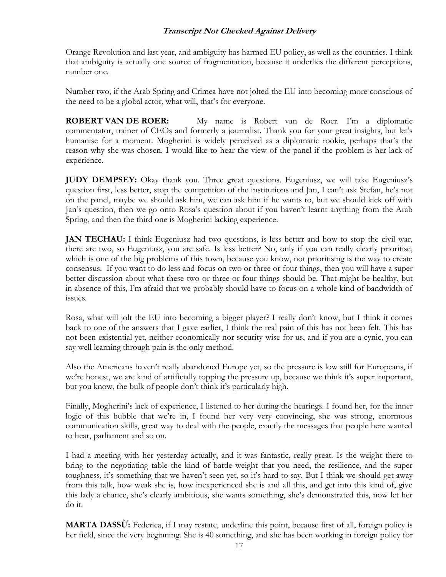Orange Revolution and last year, and ambiguity has harmed EU policy, as well as the countries. I think that ambiguity is actually one source of fragmentation, because it underlies the different perceptions, number one.

Number two, if the Arab Spring and Crimea have not jolted the EU into becoming more conscious of the need to be a global actor, what will, that's for everyone.

**ROBERT VAN DE ROER:** My name is Robert van de Roer. I'm a diplomatic commentator, trainer of CEOs and formerly a journalist. Thank you for your great insights, but let's humanise for a moment. Mogherini is widely perceived as a diplomatic rookie, perhaps that's the reason why she was chosen. I would like to hear the view of the panel if the problem is her lack of experience.

**JUDY DEMPSEY:** Okay thank you. Three great questions. Eugeniusz, we will take Eugeniusz's question first, less better, stop the competition of the institutions and Jan, I can't ask Stefan, he's not on the panel, maybe we should ask him, we can ask him if he wants to, but we should kick off with Jan's question, then we go onto Rosa's question about if you haven't learnt anything from the Arab Spring, and then the third one is Mogherini lacking experience.

**JAN TECHAU:** I think Eugeniusz had two questions, is less better and how to stop the civil war, there are two, so Eugeniusz, you are safe. Is less better? No, only if you can really clearly prioritise, which is one of the big problems of this town, because you know, not prioritising is the way to create consensus. If you want to do less and focus on two or three or four things, then you will have a super better discussion about what these two or three or four things should be. That might be healthy, but in absence of this, I'm afraid that we probably should have to focus on a whole kind of bandwidth of issues.

Rosa, what will jolt the EU into becoming a bigger player? I really don't know, but I think it comes back to one of the answers that I gave earlier, I think the real pain of this has not been felt. This has not been existential yet, neither economically nor security wise for us, and if you are a cynic, you can say well learning through pain is the only method.

Also the Americans haven't really abandoned Europe yet, so the pressure is low still for Europeans, if we're honest, we are kind of artificially topping the pressure up, because we think it's super important, but you know, the bulk of people don't think it's particularly high.

Finally, Mogherini's lack of experience, I listened to her during the hearings. I found her, for the inner logic of this bubble that we're in, I found her very very convincing, she was strong, enormous communication skills, great way to deal with the people, exactly the messages that people here wanted to hear, parliament and so on.

I had a meeting with her yesterday actually, and it was fantastic, really great. Is the weight there to bring to the negotiating table the kind of battle weight that you need, the resilience, and the super toughness, it's something that we haven't seen yet, so it's hard to say. But I think we should get away from this talk, how weak she is, how inexperienced she is and all this, and get into this kind of, give this lady a chance, she's clearly ambitious, she wants something, she's demonstrated this, now let her do it.

**MARTA DASSỪ:** Federica, if I may restate, underline this point, because first of all, foreign policy is her field, since the very beginning. She is 40 something, and she has been working in foreign policy for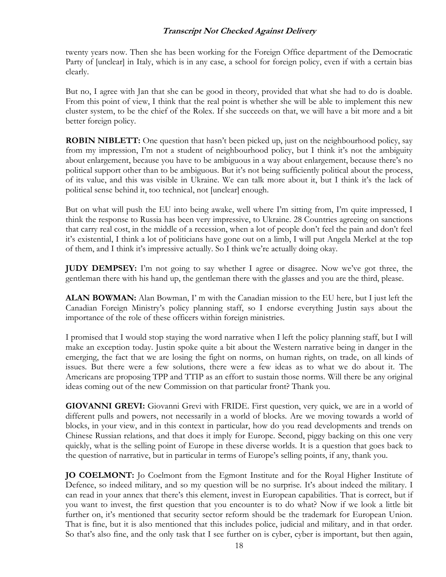twenty years now. Then she has been working for the Foreign Office department of the Democratic Party of [unclear] in Italy, which is in any case, a school for foreign policy, even if with a certain bias clearly.

But no, I agree with Jan that she can be good in theory, provided that what she had to do is doable. From this point of view, I think that the real point is whether she will be able to implement this new cluster system, to be the chief of the Rolex. If she succeeds on that, we will have a bit more and a bit better foreign policy.

**ROBIN NIBLETT:** One question that hasn't been picked up, just on the neighbourhood policy, say from my impression, I'm not a student of neighbourhood policy, but I think it's not the ambiguity about enlargement, because you have to be ambiguous in a way about enlargement, because there's no political support other than to be ambiguous. But it's not being sufficiently political about the process, of its value, and this was visible in Ukraine. We can talk more about it, but I think it's the lack of political sense behind it, too technical, not [unclear] enough.

But on what will push the EU into being awake, well where I'm sitting from, I'm quite impressed, I think the response to Russia has been very impressive, to Ukraine. 28 Countries agreeing on sanctions that carry real cost, in the middle of a recession, when a lot of people don't feel the pain and don't feel it's existential, I think a lot of politicians have gone out on a limb, I will put Angela Merkel at the top of them, and I think it's impressive actually. So I think we're actually doing okay.

**JUDY DEMPSEY:** I'm not going to say whether I agree or disagree. Now we've got three, the gentleman there with his hand up, the gentleman there with the glasses and you are the third, please.

**ALAN BOWMAN:** Alan Bowman, I' m with the Canadian mission to the EU here, but I just left the Canadian Foreign Ministry's policy planning staff, so I endorse everything Justin says about the importance of the role of these officers within foreign ministries.

I promised that I would stop staying the word narrative when I left the policy planning staff, but I will make an exception today. Justin spoke quite a bit about the Western narrative being in danger in the emerging, the fact that we are losing the fight on norms, on human rights, on trade, on all kinds of issues. But there were a few solutions, there were a few ideas as to what we do about it. The Americans are proposing TPP and TTIP as an effort to sustain those norms. Will there be any original ideas coming out of the new Commission on that particular front? Thank you.

**GIOVANNI GREVI:** Giovanni Grevi with FRIDE. First question, very quick, we are in a world of different pulls and powers, not necessarily in a world of blocks. Are we moving towards a world of blocks, in your view, and in this context in particular, how do you read developments and trends on Chinese Russian relations, and that does it imply for Europe. Second, piggy backing on this one very quickly, what is the selling point of Europe in these diverse worlds. It is a question that goes back to the question of narrative, but in particular in terms of Europe's selling points, if any, thank you.

**JO COELMONT:** Jo Coelmont from the Egmont Institute and for the Royal Higher Institute of Defence, so indeed military, and so my question will be no surprise. It's about indeed the military. I can read in your annex that there's this element, invest in European capabilities. That is correct, but if you want to invest, the first question that you encounter is to do what? Now if we look a little bit further on, it's mentioned that security sector reform should be the trademark for European Union. That is fine, but it is also mentioned that this includes police, judicial and military, and in that order. So that's also fine, and the only task that I see further on is cyber, cyber is important, but then again,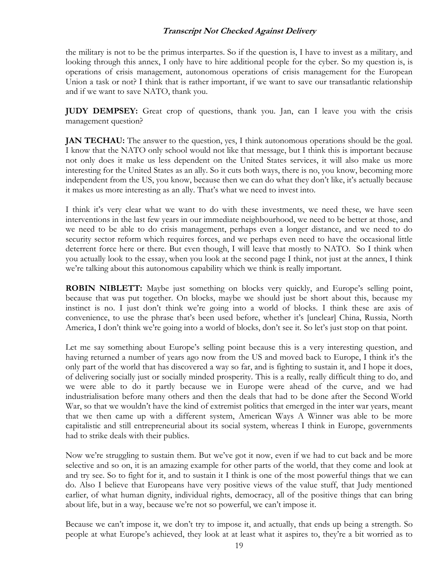the military is not to be the primus interpartes. So if the question is, I have to invest as a military, and looking through this annex, I only have to hire additional people for the cyber. So my question is, is operations of crisis management, autonomous operations of crisis management for the European Union a task or not? I think that is rather important, if we want to save our transatlantic relationship and if we want to save NATO, thank you.

**JUDY DEMPSEY:** Great crop of questions, thank you. Jan, can I leave you with the crisis management question?

**JAN TECHAU:** The answer to the question, yes, I think autonomous operations should be the goal. I know that the NATO only school would not like that message, but I think this is important because not only does it make us less dependent on the United States services, it will also make us more interesting for the United States as an ally. So it cuts both ways, there is no, you know, becoming more independent from the US, you know, because then we can do what they don't like, it's actually because it makes us more interesting as an ally. That's what we need to invest into.

I think it's very clear what we want to do with these investments, we need these, we have seen interventions in the last few years in our immediate neighbourhood, we need to be better at those, and we need to be able to do crisis management, perhaps even a longer distance, and we need to do security sector reform which requires forces, and we perhaps even need to have the occasional little deterrent force here or there. But even though, I will leave that mostly to NATO. So I think when you actually look to the essay, when you look at the second page I think, not just at the annex, I think we're talking about this autonomous capability which we think is really important.

**ROBIN NIBLETT:** Maybe just something on blocks very quickly, and Europe's selling point, because that was put together. On blocks, maybe we should just be short about this, because my instinct is no. I just don't think we're going into a world of blocks. I think these are axis of convenience, to use the phrase that's been used before, whether it's [unclear] China, Russia, North America, I don't think we're going into a world of blocks, don't see it. So let's just stop on that point.

Let me say something about Europe's selling point because this is a very interesting question, and having returned a number of years ago now from the US and moved back to Europe, I think it's the only part of the world that has discovered a way so far, and is fighting to sustain it, and I hope it does, of delivering socially just or socially minded prosperity. This is a really, really difficult thing to do, and we were able to do it partly because we in Europe were ahead of the curve, and we had industrialisation before many others and then the deals that had to be done after the Second World War, so that we wouldn't have the kind of extremist politics that emerged in the inter war years, meant that we then came up with a different system, American Ways A Winner was able to be more capitalistic and still entrepreneurial about its social system, whereas I think in Europe, governments had to strike deals with their publics.

Now we're struggling to sustain them. But we've got it now, even if we had to cut back and be more selective and so on, it is an amazing example for other parts of the world, that they come and look at and try see. So to fight for it, and to sustain it I think is one of the most powerful things that we can do. Also I believe that Europeans have very positive views of the value stuff, that Judy mentioned earlier, of what human dignity, individual rights, democracy, all of the positive things that can bring about life, but in a way, because we're not so powerful, we can't impose it.

Because we can't impose it, we don't try to impose it, and actually, that ends up being a strength. So people at what Europe's achieved, they look at at least what it aspires to, they're a bit worried as to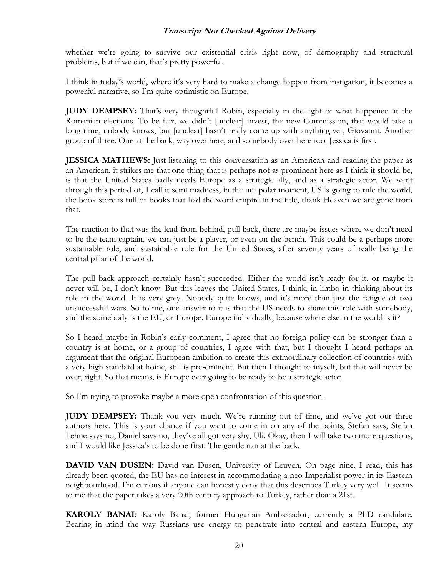whether we're going to survive our existential crisis right now, of demography and structural problems, but if we can, that's pretty powerful.

I think in today's world, where it's very hard to make a change happen from instigation, it becomes a powerful narrative, so I'm quite optimistic on Europe.

**JUDY DEMPSEY:** That's very thoughtful Robin, especially in the light of what happened at the Romanian elections. To be fair, we didn't [unclear] invest, the new Commission, that would take a long time, nobody knows, but [unclear] hasn't really come up with anything yet, Giovanni. Another group of three. One at the back, way over here, and somebody over here too. Jessica is first.

**JESSICA MATHEWS:** Just listening to this conversation as an American and reading the paper as an American, it strikes me that one thing that is perhaps not as prominent here as I think it should be, is that the United States badly needs Europe as a strategic ally, and as a strategic actor. We went through this period of, I call it semi madness, in the uni polar moment, US is going to rule the world, the book store is full of books that had the word empire in the title, thank Heaven we are gone from that.

The reaction to that was the lead from behind, pull back, there are maybe issues where we don't need to be the team captain, we can just be a player, or even on the bench. This could be a perhaps more sustainable role, and sustainable role for the United States, after seventy years of really being the central pillar of the world.

The pull back approach certainly hasn't succeeded. Either the world isn't ready for it, or maybe it never will be, I don't know. But this leaves the United States, I think, in limbo in thinking about its role in the world. It is very grey. Nobody quite knows, and it's more than just the fatigue of two unsuccessful wars. So to me, one answer to it is that the US needs to share this role with somebody, and the somebody is the EU, or Europe. Europe individually, because where else in the world is it?

So I heard maybe in Robin's early comment, I agree that no foreign policy can be stronger than a country is at home, or a group of countries, I agree with that, but I thought I heard perhaps an argument that the original European ambition to create this extraordinary collection of countries with a very high standard at home, still is pre-eminent. But then I thought to myself, but that will never be over, right. So that means, is Europe ever going to be ready to be a strategic actor.

So I'm trying to provoke maybe a more open confrontation of this question.

**JUDY DEMPSEY:** Thank you very much. We're running out of time, and we've got our three authors here. This is your chance if you want to come in on any of the points, Stefan says, Stefan Lehne says no, Daniel says no, they've all got very shy, Uli. Okay, then I will take two more questions, and I would like Jessica's to be done first. The gentleman at the back.

**DAVID VAN DUSEN:** David van Dusen, University of Leuven. On page nine, I read, this has already been quoted, the EU has no interest in accommodating a neo Imperialist power in its Eastern neighbourhood. I'm curious if anyone can honestly deny that this describes Turkey very well. It seems to me that the paper takes a very 20th century approach to Turkey, rather than a 21st.

**KAROLY BANAI:** Karoly Banai, former Hungarian Ambassador, currently a PhD candidate. Bearing in mind the way Russians use energy to penetrate into central and eastern Europe, my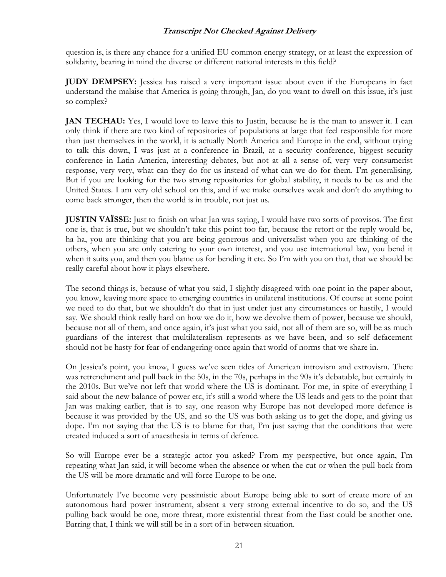question is, is there any chance for a unified EU common energy strategy, or at least the expression of solidarity, bearing in mind the diverse or different national interests in this field?

**JUDY DEMPSEY:** Jessica has raised a very important issue about even if the Europeans in fact understand the malaise that America is going through, Jan, do you want to dwell on this issue, it's just so complex?

**JAN TECHAU:** Yes, I would love to leave this to Justin, because he is the man to answer it. I can only think if there are two kind of repositories of populations at large that feel responsible for more than just themselves in the world, it is actually North America and Europe in the end, without trying to talk this down, I was just at a conference in Brazil, at a security conference, biggest security conference in Latin America, interesting debates, but not at all a sense of, very very consumerist response, very very, what can they do for us instead of what can we do for them. I'm generalising. But if you are looking for the two strong repositories for global stability, it needs to be us and the United States. I am very old school on this, and if we make ourselves weak and don't do anything to come back stronger, then the world is in trouble, not just us.

**JUSTIN VAÏSSE:** Just to finish on what Jan was saying, I would have two sorts of provisos. The first one is, that is true, but we shouldn't take this point too far, because the retort or the reply would be, ha ha, you are thinking that you are being generous and universalist when you are thinking of the others, when you are only catering to your own interest, and you use international law, you bend it when it suits you, and then you blame us for bending it etc. So I'm with you on that, that we should be really careful about how it plays elsewhere.

The second things is, because of what you said, I slightly disagreed with one point in the paper about, you know, leaving more space to emerging countries in unilateral institutions. Of course at some point we need to do that, but we shouldn't do that in just under just any circumstances or hastily, I would say. We should think really hard on how we do it, how we devolve them of power, because we should, because not all of them, and once again, it's just what you said, not all of them are so, will be as much guardians of the interest that multilateralism represents as we have been, and so self defacement should not be hasty for fear of endangering once again that world of norms that we share in.

On Jessica's point, you know, I guess we've seen tides of American introvism and extrovism. There was retrenchment and pull back in the 50s, in the 70s, perhaps in the 90s it's debatable, but certainly in the 2010s. But we've not left that world where the US is dominant. For me, in spite of everything I said about the new balance of power etc, it's still a world where the US leads and gets to the point that Jan was making earlier, that is to say, one reason why Europe has not developed more defence is because it was provided by the US, and so the US was both asking us to get the dope, and giving us dope. I'm not saying that the US is to blame for that, I'm just saying that the conditions that were created induced a sort of anaesthesia in terms of defence.

So will Europe ever be a strategic actor you asked? From my perspective, but once again, I'm repeating what Jan said, it will become when the absence or when the cut or when the pull back from the US will be more dramatic and will force Europe to be one.

Unfortunately I've become very pessimistic about Europe being able to sort of create more of an autonomous hard power instrument, absent a very strong external incentive to do so, and the US pulling back would be one, more threat, more existential threat from the East could be another one. Barring that, I think we will still be in a sort of in-between situation.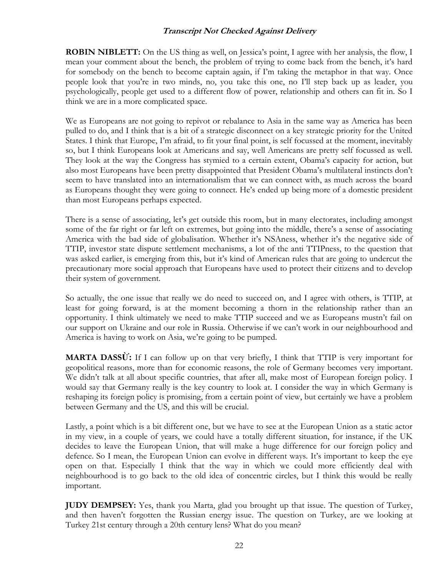**ROBIN NIBLETT:** On the US thing as well, on Jessica's point, I agree with her analysis, the flow, I mean your comment about the bench, the problem of trying to come back from the bench, it's hard for somebody on the bench to become captain again, if I'm taking the metaphor in that way. Once people look that you're in two minds, no, you take this one, no I'll step back up as leader, you psychologically, people get used to a different flow of power, relationship and others can fit in. So I think we are in a more complicated space.

We as Europeans are not going to repivot or rebalance to Asia in the same way as America has been pulled to do, and I think that is a bit of a strategic disconnect on a key strategic priority for the United States. I think that Europe, I'm afraid, to fit your final point, is self focussed at the moment, inevitably so, but I think Europeans look at Americans and say, well Americans are pretty self focussed as well. They look at the way the Congress has stymied to a certain extent, Obama's capacity for action, but also most Europeans have been pretty disappointed that President Obama's multilateral instincts don't seem to have translated into an internationalism that we can connect with, as much across the board as Europeans thought they were going to connect. He's ended up being more of a domestic president than most Europeans perhaps expected.

There is a sense of associating, let's get outside this room, but in many electorates, including amongst some of the far right or far left on extremes, but going into the middle, there's a sense of associating America with the bad side of globalisation. Whether it's NSAness, whether it's the negative side of TTIP, investor state dispute settlement mechanisms, a lot of the anti TTIPness, to the question that was asked earlier, is emerging from this, but it's kind of American rules that are going to undercut the precautionary more social approach that Europeans have used to protect their citizens and to develop their system of government.

So actually, the one issue that really we do need to succeed on, and I agree with others, is TTIP, at least for going forward, is at the moment becoming a thorn in the relationship rather than an opportunity. I think ultimately we need to make TTIP succeed and we as Europeans mustn't fail on our support on Ukraine and our role in Russia. Otherwise if we can't work in our neighbourhood and America is having to work on Asia, we're going to be pumped.

**MARTA DASSỪ:** If I can follow up on that very briefly, I think that TTIP is very important for geopolitical reasons, more than for economic reasons, the role of Germany becomes very important. We didn't talk at all about specific countries, that after all, make most of European foreign policy. I would say that Germany really is the key country to look at. I consider the way in which Germany is reshaping its foreign policy is promising, from a certain point of view, but certainly we have a problem between Germany and the US, and this will be crucial.

Lastly, a point which is a bit different one, but we have to see at the European Union as a static actor in my view, in a couple of years, we could have a totally different situation, for instance, if the UK decides to leave the European Union, that will make a huge difference for our foreign policy and defence. So I mean, the European Union can evolve in different ways. It's important to keep the eye open on that. Especially I think that the way in which we could more efficiently deal with neighbourhood is to go back to the old idea of concentric circles, but I think this would be really important.

**JUDY DEMPSEY:** Yes, thank you Marta, glad you brought up that issue. The question of Turkey, and then haven't forgotten the Russian energy issue. The question on Turkey, are we looking at Turkey 21st century through a 20th century lens? What do you mean?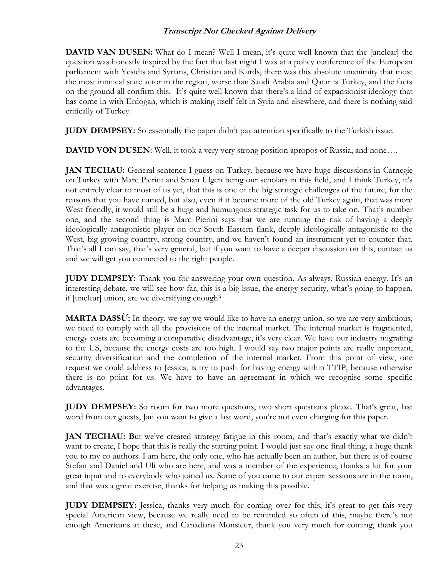**DAVID VAN DUSEN:** What do I mean? Well I mean, it's quite well known that the [unclear] the question was honestly inspired by the fact that last night I was at a policy conference of the European parliament with Yesidis and Syrians, Christian and Kurds, there was this absolute unanimity that most the most inimical state actor in the region, worse than Saudi Arabia and Qatar is Turkey, and the facts on the ground all confirm this. It's quite well known that there's a kind of expansionist ideology that has come in with Erdogan, which is making itself felt in Syria and elsewhere, and there is nothing said critically of Turkey.

**JUDY DEMPSEY:** So essentially the paper didn't pay attention specifically to the Turkish issue.

**DAVID VON DUSEN:** Well, it took a very very strong position apropos of Russia, and none....

**JAN TECHAU:** General sentence I guess on Turkey, because we have huge discussions in Carnegie on Turkey with Marc Pierini and Sinan Ülgen being our scholars in this field, and I think Turkey, it's not entirely clear to most of us yet, that this is one of the big strategic challenges of the future, for the reasons that you have named, but also, even if it became more of the old Turkey again, that was more West friendly, it would still be a huge and humungous strategic task for us to take on. That's number one, and the second thing is Marc Pierini says that we are running the risk of having a deeply ideologically antagonistic player on our South Eastern flank, deeply ideologically antagonistic to the West, big growing country, strong country, and we haven't found an instrument yet to counter that. That's all I can say, that's very general, but if you want to have a deeper discussion on this, contact us and we will get you connected to the right people.

**JUDY DEMPSEY:** Thank you for answering your own question. As always, Russian energy. It's an interesting debate, we will see how far, this is a big issue, the energy security, what's going to happen, if [unclear] union, are we diversifying enough?

**MARTA DASSỪ:** In theory, we say we would like to have an energy union, so we are very ambitious, we need to comply with all the provisions of the internal market. The internal market is fragmented, energy costs are becoming a comparative disadvantage, it's very clear. We have our industry migrating to the US, because the energy costs are too high. I would say two major points are really important, security diversification and the completion of the internal market. From this point of view, one request we could address to Jessica, is try to push for having energy within TTIP, because otherwise there is no point for us. We have to have an agreement in which we recognise some specific advantages.

**JUDY DEMPSEY:** So room for two more questions, two short questions please. That's great, last word from our guests, Jan you want to give a last word, you're not even charging for this paper.

**JAN TECHAU: B**ut we've created strategy fatigue in this room, and that's exactly what we didn't want to create, I hope that this is really the starting point. I would just say one final thing, a huge thank you to my co authors. I am here, the only one, who has actually been an author, but there is of course Stefan and Daniel and Uli who are here, and was a member of the experience, thanks a lot for your great input and to everybody who joined us. Some of you came to our expert sessions are in the room, and that was a great exercise, thanks for helping us making this possible.

**JUDY DEMPSEY:** Jessica, thanks very much for coming over for this, it's great to get this very special American view, because we really need to be reminded so often of this, maybe there's not enough Americans at these, and Canadians Monsieur, thank you very much for coming, thank you